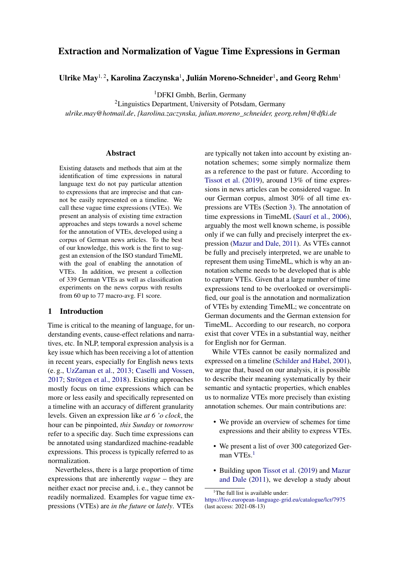# Extraction and Normalization of Vague Time Expressions in German

Ulrike May $^{1,\,2}$ , Karolina Zaczynska $^1$ , Julián Moreno-Schneider $^1$ , and Georg Rehm $^1$ 

<sup>1</sup>DFKI Gmbh, Berlin, Germany

<sup>2</sup>Linguistics Department, University of Potsdam, Germany *ulrike.may@hotmail.de*, *{karolina.zaczynska, julian.moreno\_schneider, georg.rehm}@dfki.de*

#### Abstract

Existing datasets and methods that aim at the identification of time expressions in natural language text do not pay particular attention to expressions that are imprecise and that cannot be easily represented on a timeline. We call these vague time expressions (VTEs). We present an analysis of existing time extraction approaches and steps towards a novel scheme for the annotation of VTEs, developed using a corpus of German news articles. To the best of our knowledge, this work is the first to suggest an extension of the ISO standard TimeML with the goal of enabling the annotation of VTEs. In addition, we present a collection of 339 German VTEs as well as classification experiments on the news corpus with results from 60 up to 77 macro-avg. F1 score.

### 1 Introduction

Time is critical to the meaning of language, for understanding events, cause-effect relations and narratives, etc. In NLP, temporal expression analysis is a key issue which has been receiving a lot of attention in recent years, especially for English news texts (e. g., [UzZaman et al.,](#page-8-0) [2013;](#page-8-0) [Caselli and Vossen,](#page-8-1) [2017;](#page-8-1) [Strötgen et al.,](#page-8-2) [2018\)](#page-8-2). Existing approaches mostly focus on time expressions which can be more or less easily and specifically represented on a timeline with an accuracy of different granularity levels. Given an expression like *at 6 'o clock*, the hour can be pinpointed, *this Sunday* or *tomorrow* refer to a specific day. Such time expressions can be annotated using standardized machine-readable expressions. This process is typically referred to as normalization.

Nevertheless, there is a large proportion of time expressions that are inherently *vague* – they are neither exact nor precise and, i. e., they cannot be readily normalized. Examples for vague time expressions (VTEs) are *in the future* or *lately*. VTEs

are typically not taken into account by existing annotation schemes; some simply normalize them as a reference to the past or future. According to [Tissot et al.](#page-8-3) [\(2019\)](#page-8-3), around 13% of time expressions in news articles can be considered vague. In our German corpus, almost 30% of all time expressions are VTEs (Section [3\)](#page-2-0). The annotation of time expressions in TimeML [\(Saurí et al.,](#page-8-4) [2006\)](#page-8-4), arguably the most well known scheme, is possible only if we can fully and precisely interpret the expression [\(Mazur and Dale,](#page-8-5) [2011\)](#page-8-5). As VTEs cannot be fully and precisely interpreted, we are unable to represent them using TimeML, which is why an annotation scheme needs to be developed that is able to capture VTEs. Given that a large number of time expressions tend to be overlooked or oversimplified, our goal is the annotation and normalization of VTEs by extending TimeML; we concentrate on German documents and the German extension for TimeML. According to our research, no corpora exist that cover VTEs in a substantial way, neither for English nor for German.

While VTEs cannot be easily normalized and expressed on a timeline [\(Schilder and Habel,](#page-8-6) [2001\)](#page-8-6), we argue that, based on our analysis, it is possible to describe their meaning systematically by their semantic and syntactic properties, which enables us to normalize VTEs more precisely than existing annotation schemes. Our main contributions are:

- We provide an overview of schemes for time expressions and their ability to express VTEs.
- We present a list of over 300 categorized Ger-man VTEs.<sup>[1](#page-0-0)</sup>
- Building upon [Tissot et al.](#page-8-3) [\(2019\)](#page-8-3) and [Mazur](#page-8-5) [and Dale](#page-8-5) [\(2011\)](#page-8-5), we develop a study about

<span id="page-0-0"></span><sup>&</sup>lt;sup>1</sup>The full list is available under:

<https://live.european-language-grid.eu/catalogue/lcr/7975> (last access: 2021-08-13)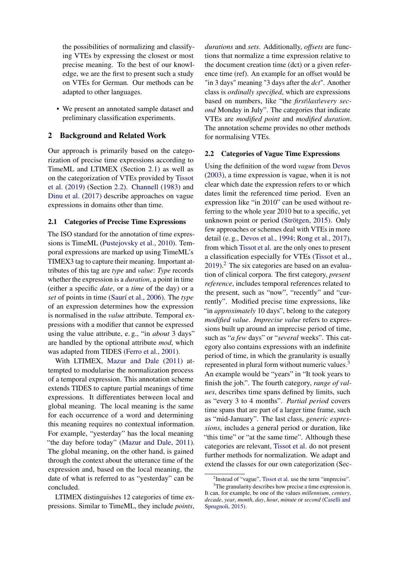the possibilities of normalizing and classifying VTEs by expressing the closest or most precise meaning. To the best of our knowledge, we are the first to present such a study on VTEs for German. Our methods can be adapted to other languages.

• We present an annotated sample dataset and preliminary classification experiments.

### 2 Background and Related Work

Our approach is primarily based on the categorization of precise time expressions according to TimeML and LTIMEX (Section [2.1\)](#page-1-0) as well as on the categorization of VTEs provided by [Tissot](#page-8-3) [et al.](#page-8-3) [\(2019\)](#page-8-3) (Section [2.2\)](#page-1-1). [Channell](#page-8-7) [\(1983\)](#page-8-7) and [Dinu et al.](#page-8-8) [\(2017\)](#page-8-8) describe approaches on vague expressions in domains other than time.

#### <span id="page-1-0"></span>2.1 Categories of Precise Time Expressions

The ISO standard for the annotation of time expressions is TimeML [\(Pustejovsky et al.,](#page-8-9) [2010\)](#page-8-9). Temporal expressions are marked up using TimeML's TIMEX3 tag to capture their meaning. Important attributes of this tag are *type* and *value*: *Type* records whether the expression is a *duration*, a point in time (either a specific *date*, or a *time* of the day) or a *set* of points in time [\(Saurí et al.,](#page-8-4) [2006\)](#page-8-4). The *type* of an expression determines how the expression is normalised in the *value* attribute. Temporal expressions with a modifier that cannot be expressed using the value attribute, e. g., "in *about* 3 days" are handled by the optional attribute *mod*, which was adapted from TIDES [\(Ferro et al.,](#page-8-10) [2001\)](#page-8-10).

With LTIMEX, [Mazur and Dale](#page-8-5) [\(2011\)](#page-8-5) attempted to modularise the normalization process of a temporal expression. This annotation scheme extends TIDES to capture partial meanings of time expressions. It differentiates between local and global meaning. The local meaning is the same for each occurrence of a word and determining this meaning requires no contextual information. For example, "yesterday" has the local meaning "the day before today" [\(Mazur and Dale,](#page-8-5) [2011\)](#page-8-5). The global meaning, on the other hand, is gained through the context about the utterance time of the expression and, based on the local meaning, the date of what is referred to as "yesterday" can be concluded.

LTIMEX distinguishes 12 categories of time expressions. Similar to TimeML, they include *points*,

*durations* and *sets*. Additionally, *offsets* are functions that normalize a time expression relative to the document creation time (dct) or a given reference time (ref). An example for an offset would be "in 3 days" meaning "3 days after the *dct*". Another class is *ordinally specified*, which are expressions based on numbers, like "the *first|last|every second* Monday in July". The categories that indicate VTEs are *modified point* and *modified duration*. The annotation scheme provides no other methods for normalising VTEs.

#### <span id="page-1-1"></span>2.2 Categories of Vague Time Expressions

Using the definition of the word *vague* from [Devos](#page-8-11) [\(2003\)](#page-8-11), a time expression is vague, when it is not clear which date the expression refers to or which dates limit the referenced time period. Even an expression like "in 2010" can be used without referring to the whole year 2010 but to a specific, yet unknown point or period [\(Strötgen,](#page-8-12) [2015\)](#page-8-12). Only few approaches or schemes deal with VTEs in more detail (e. g., [Devos et al.,](#page-8-13) [1994;](#page-8-13) [Rong et al.,](#page-8-14) [2017\)](#page-8-14), from which [Tissot et al.](#page-8-3) are the only ones to present a classification especially for VTEs [\(Tissot et al.,](#page-8-3)  $2019$  $2019$ .<sup>2</sup> The six categories are based on an evaluation of clinical corpora. The first category, *present reference*, includes temporal references related to the present, such as "now", "recently" and "currently". Modified precise time expressions, like "in *approximately* 10 days", belong to the category *modified value*. *Imprecise value* refers to expressions built up around an imprecise period of time, such as "*a few* days" or "*several* weeks". This category also contains expressions with an indefinite period of time, in which the granularity is usually represented in plural form without numeric values.<sup>[3](#page-1-3)</sup> An example would be "years" in "It took years to finish the job.". The fourth category, *range of values*, describes time spans defined by limits, such as "every 3 to 4 months". *Partial period* covers time spans that are part of a larger time frame, such as "mid-January". The last class, *generic expressions*, includes a general period or duration, like "this time" or "at the same time". Although these categories are relevant, [Tissot et al.](#page-8-3) do not present further methods for normalization. We adapt and extend the classes for our own categorization (Sec-

<span id="page-1-3"></span><span id="page-1-2"></span><sup>&</sup>lt;sup>2</sup>Instead of "vague", [Tissot et al.](#page-8-3) use the term "imprecise".

 $3$ The granularity describes how precise a time expression is. It can, for example, be one of the values *millennium*, *century*, *decade*, *year*, *month*, *day*, *hour*, *minute* or *second* [\(Caselli and](#page-7-0) [Sprugnoli,](#page-7-0) [2015\)](#page-7-0).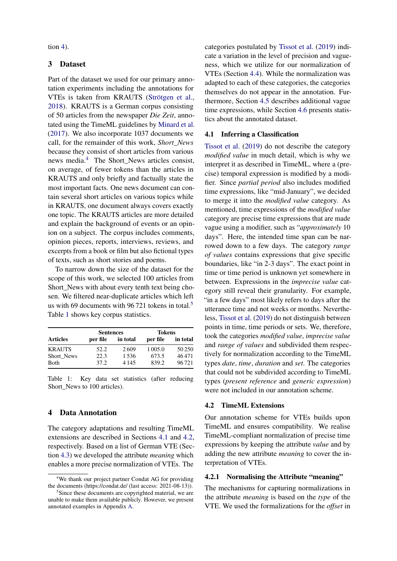tion  $4$ ).

## <span id="page-2-0"></span>3 Dataset

Part of the dataset we used for our primary annotation experiments including the annotations for VTEs is taken from KRAUTS [\(Strötgen et al.,](#page-8-2) [2018\)](#page-8-2). KRAUTS is a German corpus consisting of 50 articles from the newspaper *Die Zeit*, annotated using the TimeML guidelines by [Minard et al.](#page-8-15) [\(2017\)](#page-8-15). We also incorporate 1037 documents we call, for the remainder of this work, *Short\_News* because they consist of short articles from various news media.<sup>[4](#page-2-2)</sup> The Short News articles consist, on average, of fewer tokens than the articles in KRAUTS and only briefly and factually state the most important facts. One news document can contain several short articles on various topics while in KRAUTS, one document always covers exactly one topic. The KRAUTS articles are more detailed and explain the background of events or an opinion on a subject. The corpus includes comments, opinion pieces, reports, interviews, reviews, and excerpts from a book or film but also fictional types of texts, such as short stories and poems.

To narrow down the size of the dataset for the scope of this work, we selected 100 articles from Short\_News with about every tenth text being chosen. We filtered near-duplicate articles which left us with 69 documents with 96 721 tokens in total.<sup>[5](#page-2-3)</sup> Table [1](#page-2-4) shows key corpus statistics.

<span id="page-2-4"></span>

|                 | <b>Sentences</b> |          | <b>Tokens</b> |          |  |
|-----------------|------------------|----------|---------------|----------|--|
| <b>Articles</b> | per file         | in total | per file      | in total |  |
| <b>KRAUTS</b>   | 52.2             | 2609     | 1 0 0 5 .0    | 50250    |  |
| Short News      | 22.3             | 1.536    | 673.5         | 46471    |  |
| Both            | 37.2             | 4 1 4 5  | 839.2         | 96721    |  |

Table 1: Key data set statistics (after reducing Short\_News to 100 articles).

#### <span id="page-2-1"></span>4 Data Annotation

The category adaptations and resulting TimeML extensions are described in Sections [4.1](#page-2-5) and [4.2,](#page-2-6) respectively. Based on a list of German VTE (Section [4.3\)](#page-4-0) we developed the attribute *meaning* which enables a more precise normalization of VTEs. The categories postulated by [Tissot et al.](#page-8-3) [\(2019\)](#page-8-3) indicate a variation in the level of precision and vagueness, which we utilize for our normalization of VTEs (Section [4.4\)](#page-4-1). While the normalization was adapted to each of these categories, the categories themselves do not appear in the annotation. Furthermore, Section [4.5](#page-4-2) describes additional vague time expressions, while Section [4.6](#page-6-0) presents statistics about the annotated dataset.

#### <span id="page-2-5"></span>4.1 Inferring a Classification

[Tissot et al.](#page-8-3) [\(2019\)](#page-8-3) do not describe the category *modified value* in much detail, which is why we interpret it as described in TimeML, where a (precise) temporal expression is modified by a modifier. Since *partial period* also includes modified time expressions, like "mid-January", we decided to merge it into the *modified value* category. As mentioned, time expressions of the *modified value* category are precise time expressions that are made vague using a modifier, such as "*approximately* 10 days". Here, the intended time span can be narrowed down to a few days. The category *range of values* contains expressions that give specific boundaries, like "in 2-3 days". The exact point in time or time period is unknown yet somewhere in between. Expressions in the *imprecise value* category still reveal their granularity. For example, "in a few days" most likely refers to days after the utterance time and not weeks or months. Nevertheless, [Tissot et al.](#page-8-3) [\(2019\)](#page-8-3) do not distinguish between points in time, time periods or sets. We, therefore, took the categories *modified value*, *imprecise value* and *range of values* and subdivided them respectively for normalization according to the TimeML types *date*, *time*, *duration* and *set*. The categories that could not be subdivided according to TimeML types (*present reference* and *generic expression*) were not included in our annotation scheme.

#### <span id="page-2-6"></span>4.2 TimeML Extensions

Our annotation scheme for VTEs builds upon TimeML and ensures compatibility. We realise TimeML-compliant normalization of precise time expressions by keeping the attribute *value* and by adding the new attribute *meaning* to cover the interpretation of VTEs.

#### 4.2.1 Normalising the Attribute "meaning"

The mechanisms for capturing normalizations in the attribute *meaning* is based on the *type* of the VTE. We used the formalizations for the *offset* in

<span id="page-2-2"></span><sup>&</sup>lt;sup>4</sup>We thank our project partner Condat AG for providing the documents (https://condat.de/ (last access: 2021-08-13)).

<span id="page-2-3"></span><sup>&</sup>lt;sup>5</sup>Since these documents are copyrighted material, we are unable to make them available publicly. However, we present annotated examples in Appendix [A.](#page-9-0)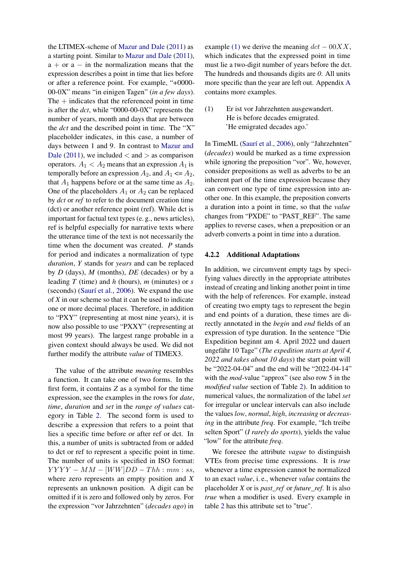the LTIMEX-scheme of [Mazur and Dale](#page-8-5) [\(2011\)](#page-8-5) as a starting point. Similar to [Mazur and Dale](#page-8-5) [\(2011\)](#page-8-5),  $a + or a - in the normalization means that the$ expression describes a point in time that lies before or after a reference point. For example, "+0000- 00-0X" means "in einigen Tagen" (*in a few days*). The  $+$  indicates that the referenced point in time is after the *dct*, while "0000-00-0X" represents the number of years, month and days that are between the *dct* and the described point in time. The "X" placeholder indicates, in this case, a number of days between 1 and 9. In contrast to [Mazur and](#page-8-5) [Dale](#page-8-5) [\(2011\)](#page-8-5), we included  $\langle$  and  $\rangle$  as comparison operators.  $A_1 < A_2$  means that an expression  $A_1$  is temporally before an expression  $A_2$ , and  $A_1 \leq A_2$ , that  $A_1$  happens before or at the same time as  $A_2$ . One of the placeholders  $A_1$  or  $A_2$  can be replaced by *dct* or *ref* to refer to the document creation time (dct) or another reference point (ref). While dct is important for factual text types (e. g., news articles), ref is helpful especially for narrative texts where the utterance time of the text is not necessarily the time when the document was created. *P* stands for period and indicates a normalization of type *duration*, *Y* stands for *years* and can be replaced by *D* (days), *M* (months), *DE* (decades) or by a leading *T* (time) and *h* (hours), *m* (minutes) or *s* (seconds) [\(Saurí et al.,](#page-8-4) [2006\)](#page-8-4). We expand the use of *X* in our scheme so that it can be used to indicate one or more decimal places. Therefore, in addition to "PXY" (representing at most nine years), it is now also possible to use "PXXY" (representing at most 99 years). The largest range probable in a given context should always be used. We did not further modify the attribute *value* of TIMEX3.

The value of the attribute *meaning* resembles a function. It can take one of two forms. In the first form, it contains *Z* as a symbol for the time expression, see the examples in the rows for *date*, *time*, *duration* and *set* in the *range of values* category in Table [2.](#page-5-0) The second form is used to describe a expression that refers to a point that lies a specific time before or after ref or dct. In this, a number of units is subtracted from or added to dct or ref to represent a specific point in time. The number of units is specified in ISO format:  $YYYY - MM - [WW]DD - Thh : mm : ss,$ where zero represents an empty position and *X* represents an unknown position. A digit can be omitted if it is zero and followed only by zeros. For the expression "vor Jahrzehnten" (*decades ago*) in

example [\(1\)](#page-3-0) we derive the meaning  $dct - 00XX$ , which indicates that the expressed point in time must lie a two-digit number of years before the dct. The hundreds and thousands digits are *0*. All units more specific than the year are left out. Appendix [A](#page-9-0) contains more examples.

<span id="page-3-0"></span>(1) Er ist vor Jahrzehnten ausgewandert. He is before decades emigrated. 'He emigrated decades ago.'

In TimeML [\(Saurí et al.,](#page-8-4) [2006\)](#page-8-4), only "Jahrzehnten" (*decades*) would be marked as a time expression while ignoring the preposition "vor". We, however, consider prepositions as well as adverbs to be an inherent part of the time expression because they can convert one type of time expression into another one. In this example, the preposition converts a duration into a point in time, so that the *value* changes from "PXDE" to "PAST\_REF". The same applies to reverse cases, when a preposition or an adverb converts a point in time into a duration.

#### 4.2.2 Additional Adaptations

In addition, we circumvent empty tags by specifying values directly in the appropriate attributes instead of creating and linking another point in time with the help of references. For example, instead of creating two empty tags to represent the begin and end points of a duration, these times are directly annotated in the *begin* and *end* fields of an expression of type duration. In the sentence "Die Expedition beginnt am 4. April 2022 und dauert ungefähr 10 Tage" (*The expedition starts at April 4, 2022 and takes about 10 days*) the start point will be "2022-04-04" and the end will be "2022-04-14" with the *mod*-value "approx" (see also row 5 in the *modified value* section of Table [2\)](#page-5-0). In addition to numerical values, the normalization of the label *set* for irregular or unclear intervals can also include the values *low*, *normal*, *high*, *increasing* or *decreasing* in the attribute *freq*. For example, "Ich treibe selten Sport" (*I rarely do sports*), yields the value "low" for the attribute *freq*.

We foresee the attribute *vague* to distinguish VTEs from precise time expressions. It is *true* whenever a time expression cannot be normalized to an exact *value*, i. e., whenever *value* contains the placeholder *X* or is *past\_ref* or *future\_ref*. It is also *true* when a modifier is used. Every example in table [2](#page-5-0) has this attribute set to "true".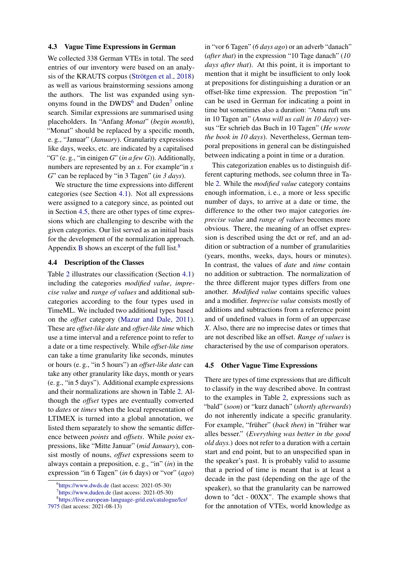#### <span id="page-4-0"></span>4.3 Vague Time Expressions in German

We collected 338 German VTEs in total. The seed entries of our inventory were based on an analysis of the KRAUTS corpus [\(Strötgen et al.,](#page-8-2) [2018\)](#page-8-2) as well as various brainstorming sessions among the authors. The list was expanded using synonyms found in the  $DWDS^6$  $DWDS^6$  and  $Duden^7$  $Duden^7$  online search. Similar expressions are summarised using placeholders. In "Anfang *Monat*" (*begin month*), "Monat" should be replaced by a specific month, e. g., "Januar" (*January*). Granularity expressions like days, weeks, etc. are indicated by a capitalised "G" (e. g., "in einigen *G*" (*in a few G*)). Additionally, numbers are represented by an *x*. For example "in *x G*" can be replaced by "in 3 Tagen" (*in 3 days*).

We structure the time expressions into different categories (see Section [4.1\)](#page-2-5). Not all expressions were assigned to a category since, as pointed out in Section [4.5,](#page-4-2) there are other types of time expressions which are challenging to describe with the given categories. Our list served as an initial basis for the development of the normalization approach. Appendix [B](#page-9-1) shows an excerpt of the full list.<sup>[8](#page-4-5)</sup>

#### <span id="page-4-1"></span>4.4 Description of the Classes

Table [2](#page-5-0) illustrates our classification (Section [4.1\)](#page-2-5) including the categories *modified value*, *imprecise value* and *range of values* and additional subcategories according to the four types used in TimeML. We included two additional types based on the *offset* category [\(Mazur and Dale,](#page-8-5) [2011\)](#page-8-5). These are *offset-like date* and *offset-like time* which use a time interval and a reference point to refer to a date or a time respectively. While *offset-like time* can take a time granularity like seconds, minutes or hours (e. g., "in 5 hours") an *offset-like date* can take any other granularity like days, month or years (e. g., "in 5 days"). Additional example expressions and their normalizations are shown in Table [2.](#page-5-0) Although the *offset* types are eventually converted to *dates* or *times* when the local representation of LTIMEX is turned into a global annotation, we listed them separately to show the semantic difference between *points* and *offsets*. While *point* expressions, like "Mitte Januar" (*mid January*), consist mostly of nouns, *offset* expressions seem to always contain a preposition, e. g., "in" (*in*) in the expression "in 6 Tagen" (*in* 6 days) or "vor" (*ago*)

<span id="page-4-5"></span><span id="page-4-4"></span>7 <https://www.duden.de> (last access: 2021-05-30)

8 [https://live.european-language-grid.eu/catalogue/lcr/](https://live.european-language-grid.eu/catalogue/lcr/7975) [7975](https://live.european-language-grid.eu/catalogue/lcr/7975) (last access: 2021-08-13)

in "vor 6 Tagen" (*6 days ago*) or an adverb "danach" (*after that*) in the expression "10 Tage danach" (*10 days after that*). At this point, it is important to mention that it might be insufficient to only look at prepositions for distinguishing a duration or an offset-like time expression. The prepostion "in" can be used in German for indicating a point in time but sometimes also a duration: "Anna ruft uns in 10 Tagen an" (*Anna will us call in 10 days*) versus "Er schrieb das Buch in 10 Tagen" (*He wrote the book in 10 days*). Nevertheless, German temporal prepositions in general can be distinguished between indicating a point in time or a duration.

This categorization enables us to distinguish different capturing methods, see column three in Table [2.](#page-5-0) While the *modified value* category contains enough information, i. e., a more or less specific number of days, to arrive at a date or time, the difference to the other two major categories *imprecise value* and *range of values* becomes more obvious. There, the meaning of an offset expression is described using the dct or ref, and an addition or subtraction of a number of granularities (years, months, weeks, days, hours or minutes). In contrast, the values of *date* and *time* contain no addition or subtraction. The normalization of the three different major types differs from one another. *Modified value* contains specific values and a modifier. *Imprecise value* consists mostly of additions and subtractions from a reference point and of undefined values in form of an uppercase *X*. Also, there are no imprecise dates or times that are not described like an offset. *Range of values* is characterised by the use of comparison operators.

#### <span id="page-4-2"></span>4.5 Other Vague Time Expressions

There are types of time expressions that are difficult to classify in the way described above. In contrast to the examples in Table [2,](#page-5-0) expressions such as "bald" (*soon*) or "kurz danach" (*shortly afterwards*) do not inherently indicate a specific granularity. For example, "früher" (*back then*) in "früher war alles besser." (*Everything was better in the good old days.*) does not refer to a duration with a certain start and end point, but to an unspecified span in the speaker's past. It is probably valid to assume that a period of time is meant that is at least a decade in the past (depending on the age of the speaker), so that the granularity can be narrowed down to "dct - 00XX". The example shows that for the annotation of VTEs, world knowledge as

<span id="page-4-3"></span><sup>6</sup> <https://www.dwds.de> (last access: 2021-05-30)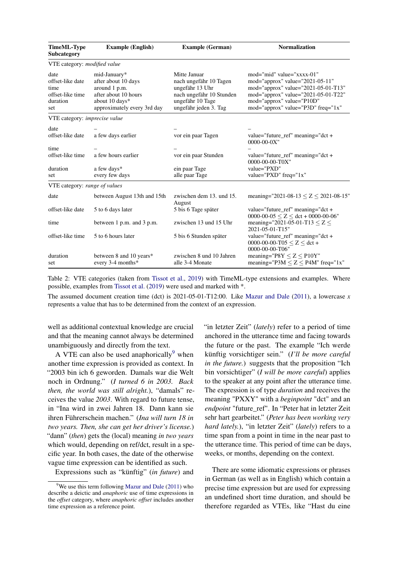<span id="page-5-0"></span>

| <b>TimeML-Type</b><br>Subcategory                                       | <b>Example</b> (English)                                                                                                      | <b>Example (German)</b>                                                                                                            | <b>Normalization</b>                                                                                                                                                                                          |
|-------------------------------------------------------------------------|-------------------------------------------------------------------------------------------------------------------------------|------------------------------------------------------------------------------------------------------------------------------------|---------------------------------------------------------------------------------------------------------------------------------------------------------------------------------------------------------------|
| VTE category: modified value                                            |                                                                                                                               |                                                                                                                                    |                                                                                                                                                                                                               |
| date<br>offset-like date<br>time<br>offset-like time<br>duration<br>set | mid-January*<br>after about 10 days<br>around 1 p.m.<br>after about 10 hours<br>about 10 days*<br>approximately every 3rd day | Mitte Januar<br>nach ungefähr 10 Tagen<br>ungefähr 13 Uhr<br>nach ungefähr 10 Stunden<br>ungefähr 10 Tage<br>ungefähr jeden 3. Tag | mod="mid" value="xxxx-01"<br>mod="approx" value="2021-05-11"<br>mod="approx" value="2021-05-01-T13"<br>mod="approx" value="2021-05-01-T22"<br>mod="approx" value="P10D"<br>mod="approx" value="P3D" freq="1x" |
| VTE category: <i>imprecise value</i>                                    |                                                                                                                               |                                                                                                                                    |                                                                                                                                                                                                               |
| date<br>offset-like date                                                | a few days earlier                                                                                                            | vor ein paar Tagen                                                                                                                 | value="future_ref" meaning="dct +<br>$0000 - 00 - 0X$ "                                                                                                                                                       |
| time<br>offset-like time                                                | a few hours earlier                                                                                                           | vor ein paar Stunden                                                                                                               | value="future_ref" meaning="dct +<br>0000-00-00-T0X"                                                                                                                                                          |
| duration<br>set                                                         | a few days*<br>every few days                                                                                                 | ein paar Tage<br>alle paar Tage                                                                                                    | value="PXD"<br>value="PXD" freq="1x"                                                                                                                                                                          |
| VTE category: range of values                                           |                                                                                                                               |                                                                                                                                    |                                                                                                                                                                                                               |
| date                                                                    | between August 13th and 15th                                                                                                  | zwischen dem 13. und 15.<br>August                                                                                                 | meaning="2021-08-13 $\leq$ Z $\leq$ 2021-08-15"                                                                                                                                                               |
| offset-like date                                                        | 5 to 6 days later                                                                                                             | 5 bis 6 Tage später                                                                                                                | value="future_ref" meaning=" $det +$<br>0000-00-05 $\leq$ Z $\leq$ dct + 0000-00-06"                                                                                                                          |
| time                                                                    | between 1 p.m. and 3 p.m.                                                                                                     | zwischen 13 und 15 Uhr                                                                                                             | meaning="2021-05-01-T13 $\leq$ Z $\leq$<br>2021-05-01-T15"                                                                                                                                                    |
| offset-like time                                                        | 5 to 6 hours later                                                                                                            | 5 bis 6 Stunden später                                                                                                             | value="future_ref" meaning="dct +<br>0000-00-00-T05 $\leq$ Z $\leq$ dct +<br>0000-00-00-T06"                                                                                                                  |
| duration<br>set                                                         | between 8 and 10 years*<br>every 3-4 months*                                                                                  | zwischen 8 und 10 Jahren<br>alle 3-4 Monate                                                                                        | meaning=" $P8Y \le Z \le P10Y$ "<br>meaning="P3M $\leq$ Z $\leq$ P4M" freq="1x"                                                                                                                               |

Table 2: VTE categories (taken from [Tissot et al.,](#page-8-3) [2019\)](#page-8-3) with TimeML-type extensions and examples. Where possible, examples from [Tissot et al.](#page-8-3) [\(2019\)](#page-8-3) were used and marked with \*.

The assumed document creation time (dct) is 2021-05-01-T12:00. Like [Mazur and Dale](#page-8-5) [\(2011\)](#page-8-5), a lowercase *x* represents a value that has to be determined from the context of an expression.

well as additional contextual knowledge are crucial and that the meaning cannot always be determined unambiguously and directly from the text.

A VTE can also be used anaphorically  $9$  when another time expression is provided as context. In "2003 bin ich 6 geworden. Damals war die Welt noch in Ordnung." (*I turned 6 in 2003. Back then, the world was still alright.*), "damals" receives the value *2003*. With regard to future tense, in "Ina wird in zwei Jahren 18. Dann kann sie ihren Führerschein machen." (*Ina will turn 18 in two years. Then, she can get her driver's license.*) "dann" (*then*) gets the (local) meaning *in two years* which would, depending on ref/dct, result in a specific year. In both cases, the date of the otherwise vague time expression can be identified as such.

Expressions such as "künftig" (*in future*) and

"in letzter Zeit" (*lately*) refer to a period of time anchored in the utterance time and facing towards the future or the past. The example "Ich werde künftig vorsichtiger sein." (*I'll be more careful in the future.*) suggests that the proposition "Ich bin vorsichtiger" (*I will be more careful*) applies to the speaker at any point after the utterance time. The expression is of type *duration* and receives the meaning "PXXY" with a *beginpoint* "dct" and an *endpoint* "future\_ref". In "Peter hat in letzter Zeit sehr hart gearbeitet." (*Peter has been working very hard lately.*), "in letzter Zeit" (*lately*) refers to a time span from a point in time in the near past to the utterance time. This period of time can be days, weeks, or months, depending on the context.

There are some idiomatic expressions or phrases in German (as well as in English) which contain a precise time expression but are used for expressing an undefined short time duration, and should be therefore regarded as VTEs, like "Hast du eine

<span id="page-5-1"></span> $9$ We use this term following [Mazur and Dale](#page-8-5) [\(2011\)](#page-8-5) who describe a deictic and *anaphoric* use of time expressions in the *offset* category, where *anaphoric offset* includes another time expression as a reference point.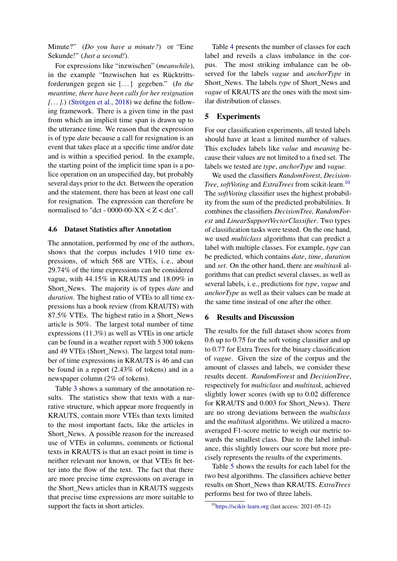Minute?" (*Do you have a minute?*) or "Eine Sekunde!" (*Just a second!*).

For expressions like "inzwischen" (*meanwhile*), in the example "Inzwischen hat es Rücktrittsforderungen gegen sie [. . . ] gegeben." (*In the meantime, there have been calls for her resignation [. . . ].*) [\(Strötgen et al.,](#page-8-2) [2018\)](#page-8-2) we define the following framework. There is a given time in the past from which an implicit time span is drawn up to the utterance time. We reason that the expression is of type *date* because a call for resignation is an event that takes place at a specific time and/or date and is within a specified period. In the example, the starting point of the implicit time span is a police operation on an unspecified day, but probably several days prior to the dct. Between the operation and the statement, there has been at least one call for resignation. The expression can therefore be normalised to "dct - 0000-00-XX  $\lt Z \lt \text{dct}$ ".

#### <span id="page-6-0"></span>4.6 Dataset Statistics after Annotation

The annotation, performed by one of the authors, shows that the corpus includes 1 910 time expressions, of which 568 are VTEs, i. e., about 29.74% of the time expressions can be considered vague, with 44.15% in KRAUTS and 18.09% in Short\_News. The majority is of types *date* and *duration*. The highest ratio of VTEs to all time expressions has a book review (from KRAUTS) with 87.5% VTEs. The highest ratio in a Short\_News article is 50%. The largest total number of time expressions (11.3%) as well as VTEs in one article can be found in a weather report with 5 300 tokens and 49 VTEs (Short\_News). The largest total number of time expressions in KRAUTS is 46 and can be found in a report (2.43% of tokens) and in a newspaper column (2% of tokens).

Table [3](#page-7-1) shows a summary of the annotation results. The statistics show that texts with a narrative structure, which appear more frequently in KRAUTS, contain more VTEs than texts limited to the most important facts, like the articles in Short\_News. A possible reason for the increased use of VTEs in columns, comments or fictional texts in KRAUTS is that an exact point in time is neither relevant nor known, or that VTEs fit better into the flow of the text. The fact that there are more precise time expressions on average in the Short\_News articles than in KRAUTS suggests that precise time expressions are more suitable to support the facts in short articles.

Table [4](#page-7-2) presents the number of classes for each label and reveils a class imbalance in the corpus. The most striking imbalance can be observed for the labels *vague* and *anchorType* in Short\_News. The labels *type* of Short\_News and *vague* of KRAUTS are the ones with the most similar distribution of classes.

#### 5 Experiments

For our classification experiments, all tested labels should have at least a limited number of values. This excludes labels like *value* and *meaning* because their values are not limited to a fixed set. The labels we tested are *type*, *anchorType* and *vague*.

We used the classifiers *RandomForest*, *Decision-Tree, softVoting* and *ExtraTrees* from scikit-learn.<sup>[10](#page-6-1)</sup> The *softVoting* classifier uses the highest probability from the sum of the predicted probabilities. It combines the classifiers *DecisionTree, RandomForest* and *LinearSupportVectorClassifier*. Two types of classification tasks were tested. On the one hand, we used *multiclass* algorithms that can predict a label with multiple classes. For example, *type* can be predicted, which contains *date*, *time*, *duration* and *set*. On the other hand, there are *multitask* algorithms that can predict several classes, as well as several labels, i. e., predictions for *type*, *vague* and *anchorType* as well as their values can be made at the same time instead of one after the other.

#### 6 Results and Discussion

The results for the full dataset show scores from 0.6 up to 0.75 for the soft voting classifier and up to 0.77 for Extra Trees for the binary classification of *vague*. Given the size of the corpus and the amount of classes and labels, we consider these results decent. *RandomForest* and *DecisionTree*, respectively for *multiclass* and *multitask*, achieved slightly lower scores (with up to 0.02 difference for KRAUTS and 0.003 for Short News). There are no strong deviations between the *multiclass* and the *multitask* algorithms. We utilized a macroaveraged F1-score metric to weigh our metric towards the smallest class. Due to the label imbalance, this slightly lowers our score but more precisely represents the results of the experiments.

Table [5](#page-7-3) shows the results for each label for the two best algorithms. The classifiers achieve better results on Short\_News than KRAUTS. *ExtraTrees* performs best for two of three labels.

<span id="page-6-1"></span><sup>10</sup><https://scikit-learn.org> (last access: 2021-05-12)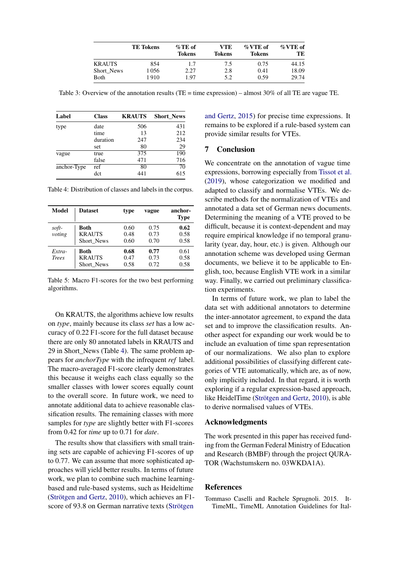<span id="page-7-1"></span>

|               | <b>TE Tokens</b> | $\%$ TE of<br><b>Tokens</b> | VTE<br>Tokens | $\%$ VTE of<br><b>Tokens</b> | $\%$ VTE of<br>TЕ |
|---------------|------------------|-----------------------------|---------------|------------------------------|-------------------|
| <b>KRAUTS</b> | 854              | 1.7                         | 7.5           | 0.75                         | 44.15             |
| Short News    | 1056             | 2.27                        | 2.8           | 0.41                         | 18.09             |
| <b>B</b> oth  | 1910             | 1.97                        | 5.2           | 0.59                         | 29.74             |

Table 3: Overview of the annotation results (TE = time expression) – almost 30% of all TE are vague TE.

<span id="page-7-2"></span>

| Label       | <b>Class</b> | <b>KRAUTS</b> | <b>Short News</b> |
|-------------|--------------|---------------|-------------------|
| type        | date         | 506           | 431               |
|             | time         | 13            | 212               |
|             | duration     | 247           | 234               |
|             | set          | 80            | 29                |
| vague       | true         | 375           | 190               |
|             | false        | 471           | 716               |
| anchor-Type | ref          | 80            | 70                |
|             | dct          | 441           | 615               |

Table 4: Distribution of classes and labels in the corpus.

<span id="page-7-3"></span>

| Model                  | <b>Dataset</b>                             | type                 | vague                | anchor-<br><b>Type</b> |
|------------------------|--------------------------------------------|----------------------|----------------------|------------------------|
| soft-<br>voting        | Both<br><b>KRAUTS</b><br>Short News        | 0.60<br>0.48<br>0.60 | 0.75<br>0.73<br>0.70 | 0.62<br>0.58<br>0.58   |
| Extra-<br><b>Trees</b> | <b>Both</b><br><b>KRAUTS</b><br>Short News | 0.68<br>0.47<br>0.58 | 0.77<br>0.73<br>0.72 | 0.61<br>0.58<br>0.58   |

Table 5: Macro F1-scores for the two best performing algorithms.

On KRAUTS, the algorithms achieve low results on *type*, mainly because its class *set* has a low accuracy of 0.22 F1-score for the full dataset because there are only 80 annotated labels in KRAUTS and 29 in Short\_News (Table [4\)](#page-7-2). The same problem appears for *anchorType* with the infrequent *ref* label. The macro-averaged F1-score clearly demonstrates this because it weighs each class equally so the smaller classes with lower scores equally count to the overall score. In future work, we need to annotate additional data to achieve reasonable classification results. The remaining classes with more samples for *type* are slightly better with F1-scores from 0.42 for *time* up to 0.71 for *date*.

The results show that classifiers with small training sets are capable of achieving F1-scores of up to 0.77. We can assume that more sophisticated approaches will yield better results. In terms of future work, we plan to combine such machine learningbased and rule-based systems, such as Heideltime [\(Strötgen and Gertz,](#page-8-16) [2010\)](#page-8-16), which achieves an F1 score of 93.8 on German narrative texts [\(Strötgen](#page-8-17)

[and Gertz,](#page-8-17) [2015\)](#page-8-17) for precise time expressions. It remains to be explored if a rule-based system can provide similar results for VTEs.

#### 7 Conclusion

We concentrate on the annotation of vague time expressions, borrowing especially from [Tissot et al.](#page-8-3) [\(2019\)](#page-8-3), whose categorization we modified and adapted to classify and normalise VTEs. We describe methods for the normalization of VTEs and annotated a data set of German news documents. Determining the meaning of a VTE proved to be difficult, because it is context-dependent and may require empirical knowledge if no temporal granularity (year, day, hour, etc.) is given. Although our annotation scheme was developed using German documents, we believe it to be applicable to English, too, because English VTE work in a similar way. Finally, we carried out preliminary classification experiments.

In terms of future work, we plan to label the data set with additional annotators to determine the inter-annotator agreement, to expand the data set and to improve the classification results. Another aspect for expanding our work would be to include an evaluation of time span representation of our normalizations. We also plan to explore additional possibilities of classifying different categories of VTE automatically, which are, as of now, only implicitly included. In that regard, it is worth exploring if a regular expression-based approach, like HeidelTime [\(Strötgen and Gertz,](#page-8-16) [2010\)](#page-8-16), is able to derive normalised values of VTEs.

#### Acknowledgments

The work presented in this paper has received funding from the German Federal Ministry of Education and Research (BMBF) through the project QURA-TOR (Wachstumskern no. 03WKDA1A).

#### References

<span id="page-7-0"></span>Tommaso Caselli and Rachele Sprugnoli. 2015. It-TimeML, TimeML Annotation Guidelines for Ital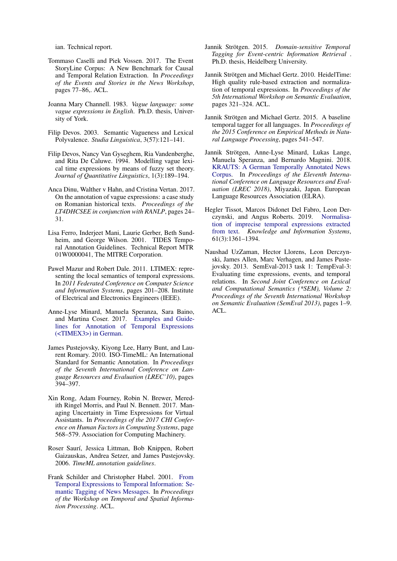ian. Technical report.

- <span id="page-8-1"></span>Tommaso Caselli and Piek Vossen. 2017. The Event StoryLine Corpus: A New Benchmark for Causal and Temporal Relation Extraction. In *Proceedings of the Events and Stories in the News Workshop*, pages 77–86,. ACL.
- <span id="page-8-7"></span>Joanna Mary Channell. 1983. *Vague language: some vague expressions in English*. Ph.D. thesis, University of York.
- <span id="page-8-11"></span>Filip Devos. 2003. Semantic Vagueness and Lexical Polyvalence. *Studia Linguistica*, 3(57):121–141.
- <span id="page-8-13"></span>Filip Devos, Nancy Van Gyseghem, Ria Vandenberghe, and Rita De Caluwe. 1994. Modelling vague lexical time expressions by means of fuzzy set theory. *Journal of Quantitative Linguistics*, 1(3):189–194.
- <span id="page-8-8"></span>Anca Dinu, Walther v Hahn, and Cristina Vertan. 2017. On the annotation of vague expressions: a case study on Romanian historical texts. *Proceedings of the LT4DHCSEE in conjunction with RANLP*, pages 24– 31.
- <span id="page-8-10"></span>Lisa Ferro, Inderjeet Mani, Laurie Gerber, Beth Sundheim, and George Wilson. 2001. TIDES Temporal Annotation Guidelines. Technical Report MTR 01W0000041, The MITRE Corporation.
- <span id="page-8-5"></span>Paweł Mazur and Robert Dale. 2011. LTIMEX: representing the local semantics of temporal expressions. In *2011 Federated Conference on Computer Science and Information Systems*, pages 201–208. Institute of Electrical and Electronics Engineers (IEEE).
- <span id="page-8-15"></span>Anne-Lyse Minard, Manuela Speranza, Sara Baino, and Martina Coser. 2017. [Examples and Guide](https://sites.google.com/site/ittimeml/documents)[lines for Annotation of Temporal Expressions](https://sites.google.com/site/ittimeml/documents) [\(<TIMEX3>\) in German.](https://sites.google.com/site/ittimeml/documents)
- <span id="page-8-9"></span>James Pustejovsky, Kiyong Lee, Harry Bunt, and Laurent Romary. 2010. ISO-TimeML: An International Standard for Semantic Annotation. In *Proceedings of the Seventh International Conference on Language Resources and Evaluation (LREC'10)*, pages 394–397.
- <span id="page-8-14"></span>Xin Rong, Adam Fourney, Robin N. Brewer, Meredith Ringel Morris, and Paul N. Bennett. 2017. Managing Uncertainty in Time Expressions for Virtual Assistants. In *Proceedings of the 2017 CHI Conference on Human Factors in Computing Systems*, page 568–579. Association for Computing Machinery.
- <span id="page-8-4"></span>Roser Saurí, Jessica Littman, Bob Knippen, Robert Gaizauskas, Andrea Setzer, and James Pustejovsky. 2006. *TimeML annotation guidelines*.
- <span id="page-8-6"></span>Frank Schilder and Christopher Habel. 2001. [From](https://doi.org/10.3115/1118238.1118247) [Temporal Expressions to Temporal Information: Se](https://doi.org/10.3115/1118238.1118247)[mantic Tagging of News Messages.](https://doi.org/10.3115/1118238.1118247) In *Proceedings of the Workshop on Temporal and Spatial Information Processing*. ACL.
- <span id="page-8-12"></span>Jannik Strötgen. 2015. *Domain-sensitive Temporal Tagging for Event-centric Information Retrieval* . Ph.D. thesis, Heidelberg University.
- <span id="page-8-16"></span>Jannik Strötgen and Michael Gertz. 2010. HeidelTime: High quality rule-based extraction and normalization of temporal expressions. In *Proceedings of the 5th International Workshop on Semantic Evaluation*, pages 321–324. ACL.
- <span id="page-8-17"></span>Jannik Strötgen and Michael Gertz. 2015. A baseline temporal tagger for all languages. In *Proceedings of the 2015 Conference on Empirical Methods in Natural Language Processing*, pages 541–547.
- <span id="page-8-2"></span>Jannik Strötgen, Anne-Lyse Minard, Lukas Lange, Manuela Speranza, and Bernardo Magnini. 2018. [KRAUTS: A German Temporally Annotated News](https://www.aclweb.org/anthology/L18-1085) [Corpus.](https://www.aclweb.org/anthology/L18-1085) In *Proceedings of the Eleventh International Conference on Language Resources and Evaluation (LREC 2018)*, Miyazaki, Japan. European Language Resources Association (ELRA).
- <span id="page-8-3"></span>Hegler Tissot, Marcos Didonet Del Fabro, Leon Derczynski, and Angus Roberts. 2019. [Normalisa](https://doi.org/10.1007/s10115-019-01338-1)[tion of imprecise temporal expressions extracted](https://doi.org/10.1007/s10115-019-01338-1) [from text.](https://doi.org/10.1007/s10115-019-01338-1) *Knowledge and Information Systems*, 61(3):1361–1394.
- <span id="page-8-0"></span>Naushad UzZaman, Hector Llorens, Leon Derczynski, James Allen, Marc Verhagen, and James Pustejovsky. 2013. SemEval-2013 task 1: TempEval-3: Evaluating time expressions, events, and temporal relations. In *Second Joint Conference on Lexical and Computational Semantics (\*SEM), Volume 2: Proceedings of the Seventh International Workshop on Semantic Evaluation (SemEval 2013)*, pages 1–9. ACL.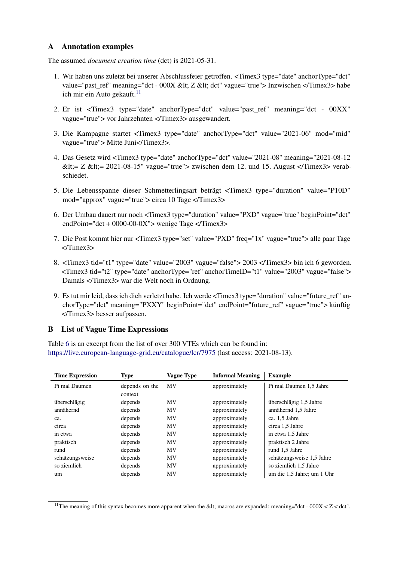## <span id="page-9-0"></span>A Annotation examples

The assumed *document creation time* (dct) is 2021-05-31.

- 1. Wir haben uns zuletzt bei unserer Abschlussfeier getroffen. <Timex3 type="date" anchorType="dct" value="past\_ref" meaning="dct - 000X < Z &lt; dct" vague="true"> Inzwischen </Timex3> habe ich mir ein Auto gekauft. $11$
- 2. Er ist <Timex3 type="date" anchorType="dct" value="past\_ref" meaning="dct 00XX" vague="true"> vor Jahrzehnten </Timex3> ausgewandert.
- 3. Die Kampagne startet <Timex3 type="date" anchorType="dct" value="2021-06" mod="mid" vague="true"> Mitte Juni</Timex3>.
- 4. Das Gesetz wird <Timex3 type="date" anchorType="dct" value="2021-08" meaning="2021-08-12  $< t := Z < t := 2021-08-15"$  vague="true"> zwischen dem 12. und 15. August </Timex3> verabschiedet.
- 5. Die Lebensspanne dieser Schmetterlingsart beträgt <Timex3 type="duration" value="P10D" mod="approx" vague="true"> circa 10 Tage </Timex3>
- 6. Der Umbau dauert nur noch <Timex3 type="duration" value="PXD" vague="true" beginPoint="dct" endPoint="dct + 0000-00-0X"> wenige Tage </Timex3>
- 7. Die Post kommt hier nur <Timex3 type="set" value="PXD" freq="1x" vague="true"> alle paar Tage </Timex3>
- 8. <Timex3 tid="t1" type="date" value="2003" vague="false"> 2003 </Timex3> bin ich 6 geworden. <Timex3 tid="t2" type="date" anchorType="ref" anchorTimeID="t1" value="2003" vague="false"> Damals </Timex3> war die Welt noch in Ordnung.
- 9. Es tut mir leid, dass ich dich verletzt habe. Ich werde <Timex3 type="duration" value="future\_ref" anchorType="dct" meaning="PXXY" beginPoint="dct" endPoint="future\_ref" vague="true"> künftig </Timex3> besser aufpassen.

## <span id="page-9-1"></span>B List of Vague Time Expressions

Table [6](#page-9-3) is an excerpt from the list of over 300 VTEs which can be found in: <https://live.european-language-grid.eu/catalogue/lcr/7975> (last access: 2021-08-13).

<span id="page-9-3"></span>

| <b>Time Expression</b> | Type           | <b>Vague Type</b> | <b>Informal Meaning</b> | <b>Example</b>             |
|------------------------|----------------|-------------------|-------------------------|----------------------------|
| Pi mal Daumen          | depends on the | <b>MV</b>         | approximately           | Pi mal Daumen 1,5 Jahre    |
|                        | context        |                   |                         |                            |
| überschlägig           | depends        | <b>MV</b>         | approximately           | überschlägig 1,5 Jahre     |
| annähernd              | depends        | MV                | approximately           | annähernd 1,5 Jahre        |
| ca.                    | depends        | MV                | approximately           | ca. 1.5 Jahre              |
| circa                  | depends        | MV                | approximately           | circa 1.5 Jahre            |
| in etwa                | depends        | <b>MV</b>         | approximately           | in etwa 1,5 Jahre          |
| praktisch              | depends        | <b>MV</b>         | approximately           | praktisch 2 Jahre          |
| rund                   | depends        | MV                | approximately           | rund 1,5 Jahre             |
| schätzungsweise        | depends        | MV                | approximately           | schätzungsweise 1,5 Jahre  |
| so ziemlich            | depends        | MV                | approximately           | so ziemlich 1,5 Jahre      |
| um                     | depends        | <b>MV</b>         | approximately           | um die 1,5 Jahre; um 1 Uhr |

<span id="page-9-2"></span><sup>&</sup>lt;sup>11</sup>The meaning of this syntax becomes more apparent when the &It; macros are expanded: meaning="dct - 000X <  $Z$  < dct".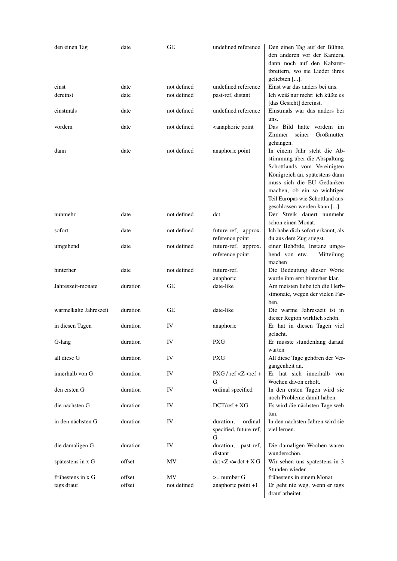| den einen Tag          | date     | GЕ          | undefined reference                                                                                                     | Den einen Tag auf der Bühne,<br>den anderen vor der Kamera,<br>dann noch auf den Kabaret-<br>tbrettern, wo sie Lieder ihres<br>geliebten [].                                                                                 |
|------------------------|----------|-------------|-------------------------------------------------------------------------------------------------------------------------|------------------------------------------------------------------------------------------------------------------------------------------------------------------------------------------------------------------------------|
| einst                  | date     | not defined | undefined reference                                                                                                     | Einst war das anders bei uns.                                                                                                                                                                                                |
| dereinst               | date     | not defined | past-ref, distant                                                                                                       | Ich weiß nur mehr: ich küßte es<br>[das Gesicht] dereinst.                                                                                                                                                                   |
| einstmals              | date     | not defined | undefined reference                                                                                                     | Einstmals war das anders bei<br>uns.                                                                                                                                                                                         |
| vordem                 | date     | not defined | <anaphoric point<="" td=""><td>Das Bild hatte vordem im<br/>Zimmer seiner<br/>Großmutter<br/>gehangen.</td></anaphoric> | Das Bild hatte vordem im<br>Zimmer seiner<br>Großmutter<br>gehangen.                                                                                                                                                         |
| dann                   | date     | not defined | anaphoric point                                                                                                         | In einem Jahr steht die Ab-<br>stimmung über die Abspaltung<br>Schottlands vom Vereinigten<br>Königreich an, spätestens dann<br>muss sich die EU Gedanken<br>machen, ob ein so wichtiger<br>Teil Europas wie Schottland aus- |
| nunmehr                | date     | not defined | dct                                                                                                                     | geschlossen werden kann [].<br>Der Streik dauert nunmehr<br>schon einen Monat.                                                                                                                                               |
| sofort                 | date     | not defined | future-ref, approx.<br>reference point                                                                                  | Ich habe dich sofort erkannt, als<br>du aus dem Zug stiegst.                                                                                                                                                                 |
| umgehend               | date     | not defined | future-ref, approx.<br>reference point                                                                                  | einer Behörde, Instanz umge-<br>hend von etw.<br>Mitteilung<br>machen                                                                                                                                                        |
| hinterher              | date     | not defined | future-ref.<br>anaphoric                                                                                                | Die Bedeutung dieser Worte<br>wurde ihm erst hinterher klar.                                                                                                                                                                 |
| Jahreszeit-monate      | duration | GЕ          | date-like                                                                                                               | Am meisten liebe ich die Herb-<br>stmonate, wegen der vielen Far-<br>ben.                                                                                                                                                    |
| warmelkalte Jahreszeit | duration | GЕ          | date-like                                                                                                               | Die warme Jahreszeit ist in<br>dieser Region wirklich schön.                                                                                                                                                                 |
| in diesen Tagen        | duration | IV          | anaphoric                                                                                                               | Er hat in diesen Tagen viel<br>gelacht.                                                                                                                                                                                      |
| G-lang                 | duration | IV.         | PXG                                                                                                                     | Er musste stundenlang darauf<br>warten                                                                                                                                                                                       |
| all diese G            | duration | IV          | <b>PXG</b>                                                                                                              | All diese Tage gehören der Ver-<br>gangenheit an.                                                                                                                                                                            |
| innerhalb von G        | duration | IV          | $P X G / ref < Z < ref +$<br>G                                                                                          | Er hat sich innerhalb von<br>Wochen davon erholt.                                                                                                                                                                            |
| den ersten G           | duration | IV          | ordinal specified                                                                                                       | In den ersten Tagen wird sie<br>noch Probleme damit haben.                                                                                                                                                                   |
| die nächsten G         | duration | IV          | $DCT/ref + XG$                                                                                                          | Es wird die nächsten Tage weh<br>tun.                                                                                                                                                                                        |
| in den nächsten G      | duration | IV          | duration,<br>ordinal<br>specified, future-ref,<br>G                                                                     | In den nächsten Jahren wird sie<br>viel lernen.                                                                                                                                                                              |
| die damaligen G        | duration | IV          | duration,<br>past-ref,<br>distant                                                                                       | Die damaligen Wochen waren<br>wunderschön.                                                                                                                                                                                   |
| spätestens in x G      | offset   | MV          | $\det Z \leq \det X$                                                                                                    | Wir sehen uns spätestens in 3<br>Stunden wieder.                                                                                                                                                                             |
| frühestens in x G      | offset   | MV          | $\geq$ number G                                                                                                         | frühestens in einem Monat                                                                                                                                                                                                    |
| tags drauf             | offset   | not defined | anaphoric point +1                                                                                                      | Er geht nie weg, wenn er tags<br>drauf arbeitet.                                                                                                                                                                             |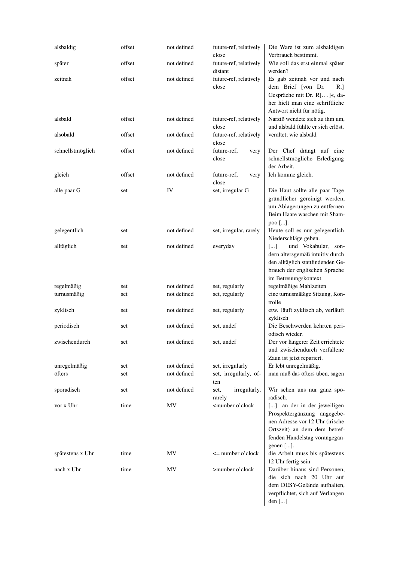| alsbaldig        | offset | not defined | future-ref, relatively<br>close                                                                                                                                                                                              | Die Ware ist zum alsbaldigen<br>Verbrauch bestimmt.                                                                                                                            |
|------------------|--------|-------------|------------------------------------------------------------------------------------------------------------------------------------------------------------------------------------------------------------------------------|--------------------------------------------------------------------------------------------------------------------------------------------------------------------------------|
| später           | offset | not defined | future-ref, relatively<br>distant                                                                                                                                                                                            | Wie soll das erst einmal später<br>werden?                                                                                                                                     |
| zeitnah          | offset | not defined | future-ref, relatively<br>close                                                                                                                                                                                              | Es gab zeitnah vor und nach<br>dem Brief [von Dr.<br>R.]<br>Gespräche mit Dr. R[]«, da-<br>her hielt man eine schriftliche<br>Antwort nicht für nötig.                         |
| alsbald          | offset | not defined | future-ref, relatively<br>close                                                                                                                                                                                              | Narziß wendete sich zu ihm um,<br>und alsbald fühlte er sich erlöst.                                                                                                           |
| alsobald         | offset | not defined | future-ref, relatively<br>close                                                                                                                                                                                              | veraltet; wie alsbald                                                                                                                                                          |
| schnellstmöglich | offset | not defined | future-ref,<br>very<br>close                                                                                                                                                                                                 | Der Chef drängt auf eine<br>schnellstmögliche Erledigung<br>der Arbeit.                                                                                                        |
| gleich           | offset | not defined | future-ref.<br>very<br>close                                                                                                                                                                                                 | Ich komme gleich.                                                                                                                                                              |
| alle paar G      | set    | IV          | set, irregular G                                                                                                                                                                                                             | Die Haut sollte alle paar Tage<br>gründlicher gereinigt werden,<br>um Ablagerungen zu entfernen<br>Beim Haare waschen mit Sham-<br>poo [].                                     |
| gelegentlich     | set    | not defined | set, irregular, rarely                                                                                                                                                                                                       | Heute soll es nur gelegentlich<br>Niederschläge geben.                                                                                                                         |
| alltäglich       | set    | not defined | everyday                                                                                                                                                                                                                     | und Vokabular, son-<br>$\left[\ldots\right]$<br>dern altersgemäß intuitiv durch<br>den alltäglich stattfindenden Ge-<br>brauch der englischen Sprache<br>im Betreuungskontext. |
| regelmäßig       | set    | not defined | set, regularly                                                                                                                                                                                                               | regelmäßige Mahlzeiten                                                                                                                                                         |
| turnusmäßig      | set    | not defined | set, regularly                                                                                                                                                                                                               | eine turnusmäßige Sitzung, Kon-<br>trolle                                                                                                                                      |
| zyklisch         | set    | not defined | set, regularly                                                                                                                                                                                                               | etw. läuft zyklisch ab, verläuft<br>zyklisch                                                                                                                                   |
| periodisch       | set    | not defined | set, undef                                                                                                                                                                                                                   | Die Beschwerden kehrten peri-<br>odisch wieder.                                                                                                                                |
| zwischendurch    | set    | not defined | set, undef                                                                                                                                                                                                                   | Der vor längerer Zeit errichtete<br>und zwischendurch verfallene<br>Zaun ist jetzt repariert.                                                                                  |
| unregelmäßig     | set    | not defined | set, irregularly                                                                                                                                                                                                             | Er lebt unregelmäßig.                                                                                                                                                          |
| öfters           | set    | not defined | set, irregularly, of-<br>ten                                                                                                                                                                                                 | man muß das öfters üben, sagen                                                                                                                                                 |
| sporadisch       | set    | not defined | irregularly,<br>set,<br>rarely                                                                                                                                                                                               | Wir sehen uns nur ganz spo-<br>radisch.                                                                                                                                        |
| vor x Uhr        | time   | MV          | <number o'clock<="" td=""><td>[] an der in der jeweiligen<br/>Prospektergänzung angegebe-<br/>nen Adresse vor 12 Uhr (irische<br/>Ortszeit) an dem dem betref-<br/>fenden Handelstag vorangegan-<br/>genen [].</td></number> | [] an der in der jeweiligen<br>Prospektergänzung angegebe-<br>nen Adresse vor 12 Uhr (irische<br>Ortszeit) an dem dem betref-<br>fenden Handelstag vorangegan-<br>genen [].    |
| spätestens x Uhr | time   | MV          | $\leq$ number o'clock                                                                                                                                                                                                        | die Arbeit muss bis spätestens<br>12 Uhr fertig sein                                                                                                                           |
| nach x Uhr       | time   | MV          | >number o'clock                                                                                                                                                                                                              | Darüber hinaus sind Personen,<br>die sich nach 20 Uhr auf<br>dem DESY-Gelände aufhalten,<br>verpflichtet, sich auf Verlangen<br>den []                                         |